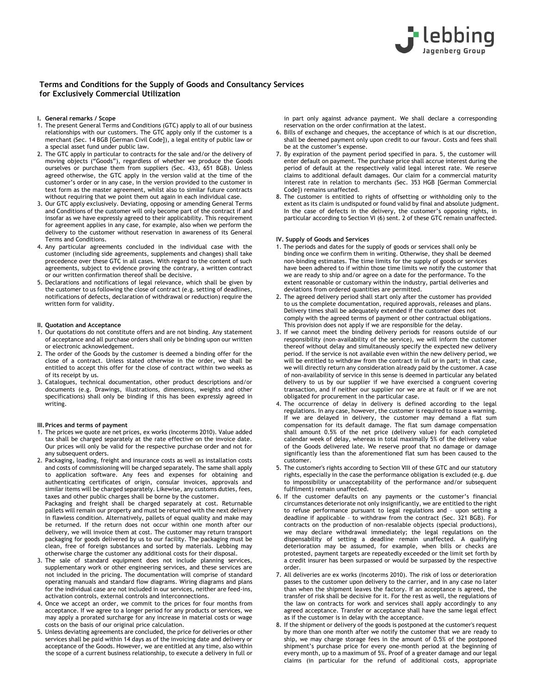

# **Terms and Conditions for the Supply of Goods and Consultancy Services for Exclusively Commercial Utilization**

- **I. General remarks / Scope**
- 1. The present General Terms and Conditions (GTC) apply to all of our business relationships with our customers. The GTC apply only if the customer is a merchant (Sec. 14 BGB [German Civil Code]), a legal entity of public law or a special asset fund under public law.
- 2. The GTC apply in particular to contracts for the sale and/or the delivery of moving objects ("Goods"), regardless of whether we produce the Goods ourselves or purchase them from suppliers (Sec. 433, 651 BGB). Unless agreed otherwise, the GTC apply in the version valid at the time of the customer's order or in any case, in the version provided to the customer in text form as the master agreement, whilst also to similar future contracts without requiring that we point them out again in each individual case.
- 3. Our GTC apply exclusively. Deviating, opposing or amending General Terms and Conditions of the customer will only become part of the contract if and insofar as we have expressly agreed to their applicability. This requirement for agreement applies in any case, for example, also when we perform the delivery to the customer without reservation in awareness of its General Terms and Conditions.
- 4. Any particular agreements concluded in the individual case with the customer (including side agreements, supplements and changes) shall take precedence over these GTC in all cases. With regard to the content of such agreements, subject to evidence proving the contrary, a written contract or our written confirmation thereof shall be decisive.
- 5. Declarations and notifications of legal relevance, which shall be given by the customer to us following the close of contract (e.g. setting of deadlines, notifications of defects, declaration of withdrawal or reduction) require the written form for validity.

## **II. Quotation and Acceptance**

- 1. Our quotations do not constitute offers and are not binding. Any statement of acceptance and all purchase orders shall only be binding upon our written or electronic acknowledgement.
- 2. The order of the Goods by the customer is deemed a binding offer for the close of a contract. Unless stated otherwise in the order, we shall be entitled to accept this offer for the close of contract within two weeks as of its receipt by us.
- 3. Catalogues, technical documentation, other product descriptions and/or documents (e.g. Drawings, illustrations, dimensions, weights and other specifications) shall only be binding if this has been expressly agreed in writing.

## **III. Prices and terms of payment**

- 1. The prices we quote are net prices, ex works (Incoterms 2010). Value added tax shall be charged separately at the rate effective on the invoice date. Our prices will only be valid for the respective purchase order and not for any subsequent orders.
- 2. Packaging, loading, freight and insurance costs as well as installation costs and costs of commissioning will be charged separately. The same shall apply to application software. Any fees and expenses for obtaining and authenticating certificates of origin, consular invoices, approvals and similar items will be charged separately. Likewise, any customs duties, fees, taxes and other public charges shall be borne by the customer.

Packaging and freight shall be charged separately at cost. Returnable pallets will remain our property and must be returned with the next delivery in flawless condition. Alternatively, pallets of equal quality and make may be returned. If the return does not occur within one month after our delivery, we will invoice them at cost. The customer may return transport packaging for goods delivered by us to our facility. The packaging must be clean, free of foreign substances and sorted by materials. Lebbing may otherwise charge the customer any additional costs for their disposal.

- 3. The sale of standard equipment does not include planning services, supplementary work or other engineering services, and these services are not included in the pricing. The documentation will comprise of standard operating manuals and standard flow diagrams. Wiring diagrams and plans for the individual case are not included in our services, neither are feed-ins, activation controls, external controls and interconnections.
- 4. Once we accept an order, we commit to the prices for four months from acceptance. If we agree to a longer period for any products or services, we may apply a prorated surcharge for any increase in material costs or wage costs on the basis of our original price calculation.
- 5. Unless deviating agreements are concluded, the price for deliveries or other services shall be paid within 14 days as of the invoicing date and delivery or acceptance of the Goods. However, we are entitled at any time, also within the scope of a current business relationship, to execute a delivery in full or

in part only against advance payment. We shall declare a corresponding reservation on the order confirmation at the latest.

- 6. Bills of exchange and cheques, the acceptance of which is at our discretion, shall be deemed payment only upon credit to our favour. Costs and fees shall be at the customer's expense.
- 7. By expiration of the payment period specified in para. 5, the customer will enter default on payment. The purchase price shall accrue interest during the period of default at the respectively valid legal interest rate. We reserve claims to additional default damages. Our claim for a commercial maturity interest rate in relation to merchants (Sec. 353 HGB [German Commercial Code]) remains unaffected.
- 8. The customer is entitled to rights of offsetting or withholding only to the extent as its claim is undisputed or found valid by final and absolute judgment. In the case of defects in the delivery, the customer's opposing rights, in particular according to Section VI (6) sent. 2 of these GTC remain unaffected.

#### **IV. Supply of Goods and Services**

- 1. The periods and dates for the supply of goods or services shall only be binding once we confirm them in writing. Otherwise, they shall be deemed non-binding estimates. The time limits for the supply of goods or services have been adhered to if within those time limits we notify the customer that we are ready to ship and/or agree on a date for the performance. To the extent reasonable or customary within the industry, partial deliveries and deviations from ordered quantities are permitted.
- 2. The agreed delivery period shall start only after the customer has provided to us the complete documentation, required approvals, releases and plans. Delivery times shall be adequately extended if the customer does not comply with the agreed terms of payment or other contractual obligations. This provision does not apply if we are responsible for the delay.
- 3. If we cannot meet the binding delivery periods for reasons outside of our responsibility (non-availability of the service), we will inform the customer thereof without delay and simultaneously specify the expected new delivery period. If the service is not available even within the new delivery period, we will be entitled to withdraw from the contract in full or in part; in that case, we will directly return any consideration already paid by the customer. A case of non-availability of service in this sense is deemed in particular any belated delivery to us by our supplier if we have exercised a congruent covering transaction, and if neither our supplier nor we are at fault or if we are not obligated for procurement in the particular case.
- 4. The occurrence of delay in delivery is defined according to the legal regulations. In any case, however, the customer is required to issue a warning. If we are delayed in delivery, the customer may demand a flat sum compensation for its default damage. The flat sum damage compensation shall amount 0.5% of the net price (delivery value) for each completed calendar week of delay, whereas in total maximally 5% of the delivery value of the Goods delivered late. We reserve proof that no damage or damage significantly less than the aforementioned flat sum has been caused to the customer.
- 5. The customer's rights according to Section VIII of these GTC and our statutory rights, especially in the case the performance obligation is excluded (e.g. due to impossibility or unacceptability of the performance and/or subsequent fulfilment) remain unaffected.
- 6. If the customer defaults on any payments or the customer's financial circumstances deteriorate not only insignificantly, we are entitled to the right to refuse performance pursuant to legal regulations and – upon setting a deadline if applicable – to withdraw from the contract (Sec. 321 BGB). For contracts on the production of non-resalable objects (special productions), we may declare withdrawal immediately; the legal regulations on the dispensability of setting a deadline remain unaffected. A qualifying deterioration may be assumed, for example, when bills or checks are protested, payment targets are repeatedly exceeded or the limit set forth by a credit insurer has been surpassed or would be surpassed by the respective order.
- 7. All deliveries are ex works (Incoterms 2010). The risk of loss or deterioration passes to the customer upon delivery to the carrier, and in any case no later than when the shipment leaves the factory. If an acceptance is agreed, the transfer of risk shall be decisive for it. For the rest as well, the regulations of the law on contracts for work and services shall apply accordingly to any agreed acceptance. Transfer or acceptance shall have the same legal effect as if the customer is in delay with the acceptance.
- 8. If the shipment or delivery of the goods is postponed at the customer's request by more than one month after we notify the customer that we are ready to ship, we may charge storage fees in the amount of 0.5% of the postponed shipment's purchase price for every one-month period at the beginning of every month, up to a maximum of 5%. Proof of a greater damage and our legal claims (in particular for the refund of additional costs, appropriate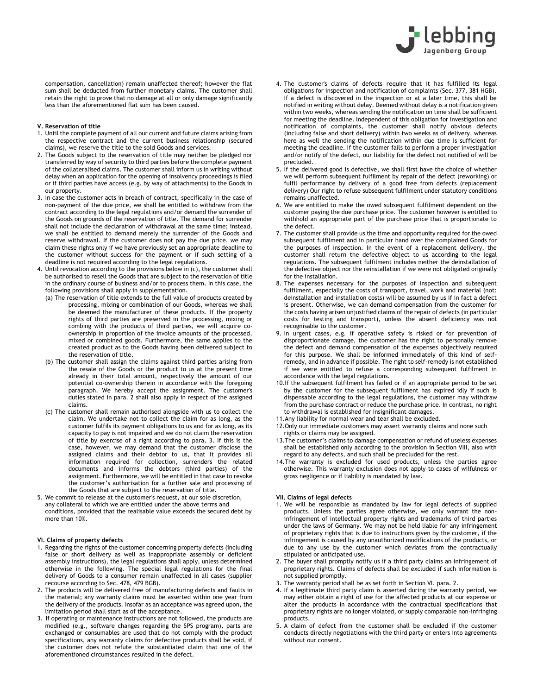

 compensation, cancellation) remain unaffected thereof; however the flat sum shall be deducted from further monetary claims. The customer shall retain the right to prove that no damage at all or only damage significantly less than the aforementioned flat sum has been caused.

### **V. Reservation of title**

- 1. Until the complete payment of all our current and future claims arising from the respective contract and the current business relationship (secured claims), we reserve the title to the sold Goods and services.
- 2. The Goods subject to the reservation of title may neither be pledged nor transferred by way of security to third parties before the complete payment of the collateralised claims. The customer shall inform us in writing without delay when an application for the opening of insolvency proceedings is filed or if third parties have access (e.g. by way of attachments) to the Goods in our property.
- 3. In case the customer acts in breach of contract, specifically in the case of non-payment of the due price, we shall be entitled to withdraw from the contract according to the legal regulations and/or demand the surrender of the Goods on grounds of the reservation of title. The demand for surrender shall not include the declaration of withdrawal at the same time; instead, we shall be entitled to demand merely the surrender of the Goods and reserve withdrawal. If the customer does not pay the due price, we may claim these rights only if we have previously set an appropriate deadline to the customer without success for the payment or if such setting of a deadline is not required according to the legal regulations.
- 4. Until revocation according to the provisions below in (c), the customer shall be authorised to resell the Goods that are subject to the reservation of title in the ordinary course of business and/or to process them. In this case, the following provisions shall apply in supplementation.
	- (a) The reservation of title extends to the full value of products created by processing, mixing or combination of our Goods, whereas we shall be deemed the manufacturer of these products. If the property rights of third parties are preserved in the processing, mixing or combing with the products of third parties, we will acquire coownership in proportion of the invoice amounts of the processed, mixed or combined goods. Furthermore, the same applies to the created product as to the Goods having been delivered subject to the reservation of title.
	- (b) The customer shall assign the claims against third parties arising from the resale of the Goods or the product to us at the present time already in their total amount, respectively the amount of our potential co-ownership therein in accordance with the foregoing paragraph. We hereby accept the assignment. The customer's duties stated in para. 2 shall also apply in respect of the assigned claims.
	- (c) The customer shall remain authorised alongside with us to collect the claim. We undertake not to collect the claim for as long, as the customer fulfils its payment obligations to us and for as long, as its capacity to pay is not impaired and we do not claim the reservation of title by exercise of a right according to para. 3. If this is the case, however, we may demand that the customer disclose the assigned claims and their debtor to us, that it provides all information required for collection, surrenders the related documents and informs the debtors (third parties) of the assignment. Furthermore, we will be entitled in that case to revoke the customer's authorisation for a further sale and processing of the Goods that are subject to the reservation of title.
- 5. We commit to release at the customer's request, at our sole discretion, any collateral to which we are entitled under the above terms and conditions, provided that the realisable value exceeds the secured debt by more than 10%.

## **VI. Claims of property defects**

- 1. Regarding the rights of the customer concerning property defects (including false or short delivery as well as inappropriate assembly or deficient assembly instructions), the legal regulations shall apply, unless determined otherwise in the following. The special legal regulations for the final delivery of Goods to a consumer remain unaffected in all cases (supplier recourse according to Sec. 478, 479 BGB).
- 2. The products will be delivered free of manufacturing defects and faults in the material; any warranty claims must be asserted within one year from the delivery of the products. Insofar as an acceptance was agreed upon, the limitation period shall start as of the acceptance.
- 3. If operating or maintenance instructions are not followed, the products are modified (e.g., software changes regarding the SPS program), parts are exchanged or consumables are used that do not comply with the product specifications, any warranty claims for defective products shall be void, if the customer does not refute the substantiated claim that one of the aforementioned circumstances resulted in the defect.
- 4. The customer's claims of defects require that it has fulfilled its legal obligations for inspection and notification of complaints (Sec. 377, 381 HGB). If a defect is discovered in the inspection or at a later time, this shall be notified in writing without delay. Deemed without delay is a notification given within two weeks, whereas sending the notification on time shall be sufficient for meeting the deadline. Independent of this obligation for investigation and notification of complaints, the customer shall notify obvious defects (including false and short delivery) within two weeks as of delivery, whereas here as well the sending the notification within due time is sufficient for meeting the deadline. If the customer fails to perform a proper investigation and/or notify of the defect, our liability for the defect not notified of will be precluded.
- 5. If the delivered good is defective, we shall first have the choice of whether we will perform subsequent fulfilment by repair of the defect (reworking) or fulfil performance by delivery of a good free from defects (replacement delivery) Our right to refuse subsequent fulfilment under statutory conditions remains unaffected.
- 6. We are entitled to make the owed subsequent fulfilment dependent on the customer paying the due purchase price. The customer however is entitled to withhold an appropriate part of the purchase price that is proportionate to the defect.
- 7. The customer shall provide us the time and opportunity required for the owed subsequent fulfilment and in particular hand over the complained Goods for the purposes of inspection. In the event of a replacement delivery, the customer shall return the defective object to us according to the legal regulations. The subsequent fulfilment includes neither the deinstallation of the defective object nor the reinstallation if we were not obligated originally for the installation.
- 8. The expenses necessary for the purposes of inspection and subsequent fulfilment, especially the costs of transport, travel, work and material (not: deinstallation and installation costs) will be assumed by us if in fact a defect is present. Otherwise, we can demand compensation from the customer for the costs having arisen unjustified claims of the repair of defects (in particular costs for testing and transport), unless the absent deficiency was not recognisable to the customer.
- 9. In urgent cases, e.g. if operative safety is risked or for prevention of disproportionate damage, the customer has the right to personally remove the defect and demand compensation of the expenses objectively required for this purpose. We shall be informed immediately of this kind of selfremedy, and in advance if possible. The right to self-remedy is not established if we were entitled to refuse a corresponding subsequent fulfilment in accordance with the legal regulations.
- 10.If the subsequent fulfilment has failed or if an appropriate period to be set by the customer for the subsequent fulfilment has expired idly if such is dispensable according to the legal regulations, the customer may withdraw from the purchase contract or reduce the purchase price. In contrast, no right to withdrawal is established for insignificant damages.
- 11.Any liability for normal wear and tear shall be excluded.
- 12.Only our immediate customers may assert warranty claims and none such rights or claims may be assigned.
- 13.The customer's claims to damage compensation or refund of useless expenses shall be established only according to the provision in Section VIII, also with regard to any defects, and such shall be precluded for the rest.
- 14.The warranty is excluded for used products, unless the parties agree otherwise. This warranty exclusion does not apply to cases of wilfulness or gross negligence or if liability is mandated by law.

## **VII. Claims of legal defects**

- 1. We will be responsible as mandated by law for legal defects of supplied products. Unless the parties agree otherwise, we only warrant the noninfringement of intellectual property rights and trademarks of third parties under the laws of Germany. We may not be held liable for any infringement of proprietary rights that is due to instructions given by the customer, if the infringement is caused by any unauthorized modifications of the products, or due to any use by the customer which deviates from the contractually stipulated or anticipated use.
- 2. The buyer shall promptly notify us if a third party claims an infringement of proprietary rights. Claims of defects shall be excluded if such information is not supplied promptly.
- 3. The warranty period shall be as set forth in Section VI. para. 2.
- 4. If a legitimate third party claim is asserted during the warranty period, we may either obtain a right of use for the affected products at our expense or alter the products in accordance with the contractual specifications that proprietary rights are no longer violated, or supply comparable non-infringing products.
- 5. A claim of defect from the customer shall be excluded if the customer conducts directly negotiations with the third party or enters into agreements without our consent.